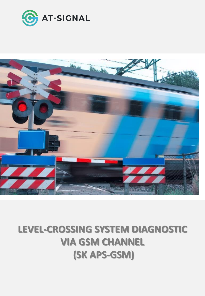



## **LEVEL-CROSSING SYSTEM DIAGNOSTIC VIA GSM CHANNEL (SK APS-GSM)**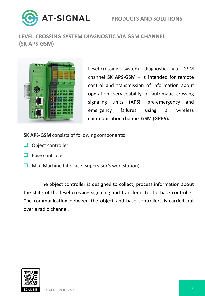



**LEVEL-CROSSING SYSTEM DIAGNOSTIC VIA GSM CHANNEL (SK APS-GSM)**



Level-crossing system diagnostic via GSM channel **SK APS-GSM** – is intended for remote control and transmission of information about operation, serviceability of automatic crossing signaling units (APS), pre-emergency and emergency failures using a wireless communication channel **GSM (GPRS).**

**SK АPS-GSM** consists of following components:

- ❑ Object controller
- ❑ Base controller
- ❑ Man Machine Interface (supervisor's workstation)

The object controller is designed to collect, process information about the state of the level-crossing signaling and transfer it to the base controller. The communication between the object and base controllers is carried out over a radio channel.

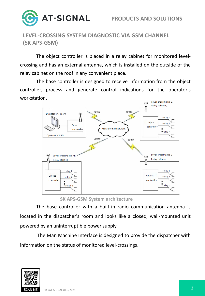

**LEVEL-CROSSING SYSTEM DIAGNOSTIC VIA GSM CHANNEL (SK APS-GSM)**

The object controller is placed in a relay cabinet for monitored levelcrossing and has an external antenna, which is installed on the outside of the relay cabinet on the roof in any convenient place.

The base controller is designed to receive information from the object controller, process and generate control indications for the operator's workstation.



**SK APS-GSM System architecture**

The base controller with a built-in radio communication antenna is located in the dispatcher's room and looks like a closed, wall-mounted unit powered by an uninterruptible power supply.

The Man Machine Interface is designed to provide the dispatcher with information on the status of monitored level-crossings.